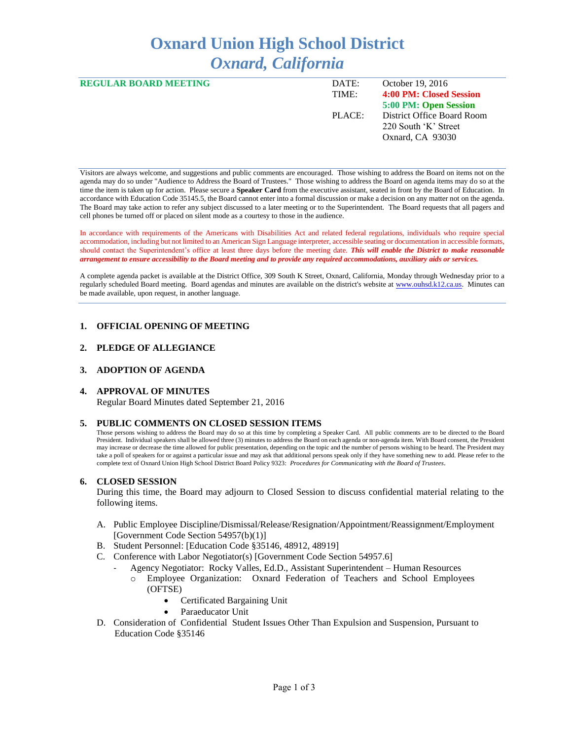# **Oxnard Union High School District** *Oxnard, California*

| <b>REGULAR BOARD MEETING</b> | DATE:<br>TIME: | October 19, 2016<br>4:00 PM: Closed Session                            |
|------------------------------|----------------|------------------------------------------------------------------------|
|                              |                | 5:00 PM: Open Session                                                  |
|                              | PLACE:         | District Office Board Room<br>220 South 'K' Street<br>Oxnard, CA 93030 |

Visitors are always welcome, and suggestions and public comments are encouraged. Those wishing to address the Board on items not on the agenda may do so under "Audience to Address the Board of Trustees." Those wishing to address the Board on agenda items may do so at the time the item is taken up for action. Please secure a **Speaker Card** from the executive assistant, seated in front by the Board of Education. In accordance with Education Code 35145.5, the Board cannot enter into a formal discussion or make a decision on any matter not on the agenda. The Board may take action to refer any subject discussed to a later meeting or to the Superintendent. The Board requests that all pagers and cell phones be turned off or placed on silent mode as a courtesy to those in the audience.

In accordance with requirements of the Americans with Disabilities Act and related federal regulations, individuals who require special accommodation, including but not limited to an American Sign Language interpreter, accessible seating or documentation in accessible formats, should contact the Superintendent's office at least three days before the meeting date. *This will enable the District to make reasonable arrangement to ensure accessibility to the Board meeting and to provide any required accommodations, auxiliary aids or services.* 

A complete agenda packet is available at the District Office, 309 South K Street, Oxnard, California, Monday through Wednesday prior to a regularly scheduled Board meeting. Board agendas and minutes are available on the district's website a[t www.ouhsd.k12.ca.us.](http://www.ouhsd.k12.ca.us/)Minutes can be made available, upon request, in another language.

## **1. OFFICIAL OPENING OF MEETING**

## **2. PLEDGE OF ALLEGIANCE**

#### **3. ADOPTION OF AGENDA**

#### **4. APPROVAL OF MINUTES**

Regular Board Minutes dated September 21, 2016

#### **5. PUBLIC COMMENTS ON CLOSED SESSION ITEMS**

Those persons wishing to address the Board may do so at this time by completing a Speaker Card. All public comments are to be directed to the Board President. Individual speakers shall be allowed three (3) minutes to address the Board on each agenda or non-agenda item. With Board consent, the President may increase or decrease the time allowed for public presentation, depending on the topic and the number of persons wishing to be heard. The President may take a poll of speakers for or against a particular issue and may ask that additional persons speak only if they have something new to add. Please refer to the complete text of Oxnard Union High School District Board Policy 9323: *Procedures for Communicating with the Board of Trustees*.

#### **6. CLOSED SESSION**

During this time, the Board may adjourn to Closed Session to discuss confidential material relating to the following items.

- A. Public Employee Discipline/Dismissal/Release/Resignation/Appointment/Reassignment/Employment [Government Code Section 54957(b)(1)]
- B. Student Personnel: [Education Code §35146, 48912, 48919]
- C. Conference with Labor Negotiator(s) [Government Code Section 54957.6]
	- Agency Negotiator: Rocky Valles, Ed.D., Assistant Superintendent Human Resources o Employee Organization: Oxnard Federation of Teachers and School Employees (OFTSE)
		- Certificated Bargaining Unit
		- Paraeducator Unit
- D. Consideration of Confidential Student Issues Other Than Expulsion and Suspension, Pursuant to Education Code §35146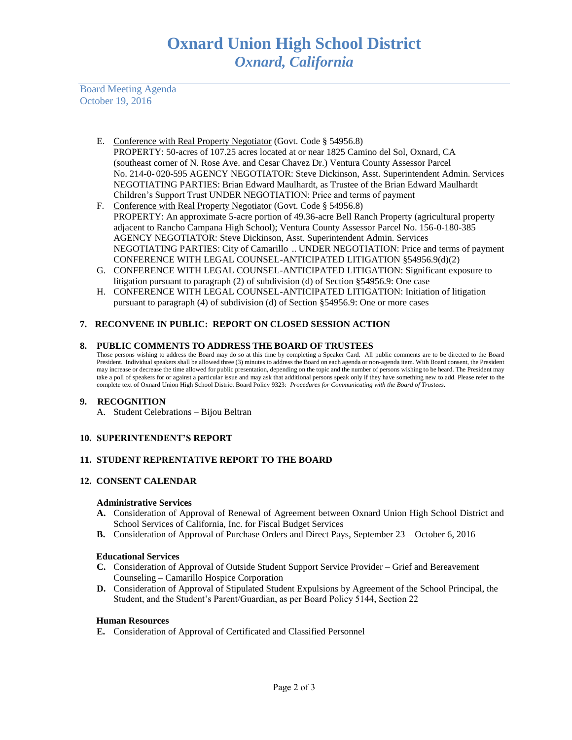Board Meeting Agenda October 19, 2016

- E. Conference with Real Property Negotiator (Govt. Code § 54956.8) PROPERTY: 50-acres of 107.25 acres located at or near 1825 Camino del Sol, Oxnard, CA (southeast corner of N. Rose Ave. and Cesar Chavez Dr.) Ventura County Assessor Parcel No. 214-0- 020-595 AGENCY NEGOTIATOR: Steve Dickinson, Asst. Superintendent Admin. Services NEGOTIATING PARTIES: Brian Edward Maulhardt, as Trustee of the Brian Edward Maulhardt Children's Support Trust UNDER NEGOTIATION: Price and terms of payment
- F. Conference with Real Property Negotiator (Govt. Code § 54956.8) PROPERTY: An approximate 5-acre portion of 49.36-acre Bell Ranch Property (agricultural property adjacent to Rancho Campana High School); Ventura County Assessor Parcel No. 156-0-180-385 AGENCY NEGOTIATOR: Steve Dickinson, Asst. Superintendent Admin. Services NEGOTIATING PARTIES: City of Camarillo .. UNDER NEGOTIATION: Price and terms of payment CONFERENCE WITH LEGAL COUNSEL-ANTICIPATED LITIGATION §54956.9(d)(2)
- G. CONFERENCE WITH LEGAL COUNSEL-ANTICIPATED LITIGATION: Significant exposure to litigation pursuant to paragraph (2) of subdivision (d) of Section §54956.9: One case
- H. CONFERENCE WITH LEGAL COUNSEL-ANTICIPATED LITIGATION: Initiation of litigation pursuant to paragraph (4) of subdivision (d) of Section §54956.9: One or more cases

# **7. RECONVENE IN PUBLIC: REPORT ON CLOSED SESSION ACTION**

## **8. PUBLIC COMMENTS TO ADDRESS THE BOARD OF TRUSTEES**

Those persons wishing to address the Board may do so at this time by completing a Speaker Card. All public comments are to be directed to the Board President. Individual speakers shall be allowed three (3) minutes to address the Board on each agenda or non-agenda item. With Board consent, the President may increase or decrease the time allowed for public presentation, depending on the topic and the number of persons wishing to be heard. The President may take a poll of speakers for or against a particular issue and may ask that additional persons speak only if they have something new to add. Please refer to the complete text of Oxnard Union High School District Board Policy 9323: *Procedures for Communicating with the Board of Trustees.*

## **9. RECOGNITION**

A. Student Celebrations – Bijou Beltran

## **10. SUPERINTENDENT'S REPORT**

## **11. STUDENT REPRENTATIVE REPORT TO THE BOARD**

## **12. CONSENT CALENDAR**

#### **Administrative Services**

- **A.** Consideration of Approval of Renewal of Agreement between Oxnard Union High School District and School Services of California, Inc. for Fiscal Budget Services
- **B.** Consideration of Approval of Purchase Orders and Direct Pays, September 23 October 6, 2016

#### **Educational Services**

- **C.** Consideration of Approval of Outside Student Support Service Provider Grief and Bereavement Counseling – Camarillo Hospice Corporation
- **D.** Consideration of Approval of Stipulated Student Expulsions by Agreement of the School Principal, the Student, and the Student's Parent/Guardian, as per Board Policy 5144, Section 22

#### **Human Resources**

**E.** Consideration of Approval of Certificated and Classified Personnel